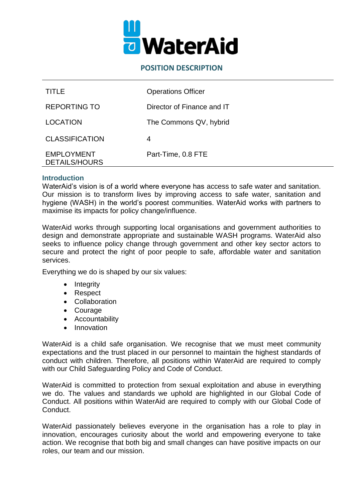

#### **POSITION DESCRIPTION**

| TITLE                                     | <b>Operations Officer</b>  |
|-------------------------------------------|----------------------------|
| <b>REPORTING TO</b>                       | Director of Finance and IT |
| <b>LOCATION</b>                           | The Commons QV, hybrid     |
| <b>CLASSIFICATION</b>                     | 4                          |
| <b>EMPLOYMENT</b><br><b>DETAILS/HOURS</b> | Part-Time, 0.8 FTE         |

#### **Introduction**

WaterAid's vision is of a world where everyone has access to safe water and sanitation. Our mission is to transform lives by improving access to safe water, sanitation and hygiene (WASH) in the world's poorest communities. WaterAid works with partners to maximise its impacts for policy change/influence.

WaterAid works through supporting local organisations and government authorities to design and demonstrate appropriate and sustainable WASH programs. WaterAid also seeks to influence policy change through government and other key sector actors to secure and protect the right of poor people to safe, affordable water and sanitation services.

Everything we do is shaped by our six values:

- Integrity
- Respect
- Collaboration
- Courage
- Accountability
- Innovation

WaterAid is a child safe organisation. We recognise that we must meet community expectations and the trust placed in our personnel to maintain the highest standards of conduct with children. Therefore, all positions within WaterAid are required to comply with our Child Safeguarding Policy and Code of Conduct.

WaterAid is committed to protection from sexual exploitation and abuse in everything we do. The values and standards we uphold are highlighted in our Global Code of Conduct. All positions within WaterAid are required to comply with our Global Code of Conduct.

WaterAid passionately believes everyone in the organisation has a role to play in innovation, encourages curiosity about the world and empowering everyone to take action. We recognise that both big and small changes can have positive impacts on our roles, our team and our mission.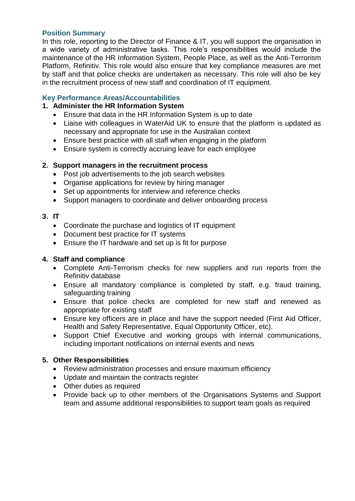### **Position Summary**

In this role, reporting to the Director of Finance & IT, you will support the organisation in a wide variety of administrative tasks. This role's responsibilities would include the maintenance of the HR Information System, People Place, as well as the Anti-Terrorism Platform, Refinitiv. This role would also ensure that key compliance measures are met by staff and that police checks are undertaken as necessary. This role will also be key in the recruitment process of new staff and coordination of IT equipment.

#### **Key Performance Areas/Accountabilities**

### **1. Administer the HR Information System**

- Ensure that data in the HR Information System is up to date
- Liaise with colleagues in WaterAid UK to ensure that the platform is updated as necessary and appropriate for use in the Australian context
- Ensure best practice with all staff when engaging in the platform
- Ensure system is correctly accruing leave for each employee

#### **2. Support managers in the recruitment process**

- Post job advertisements to the job search websites
- Organise applications for review by hiring manager
- Set up appointments for interview and reference checks
- Support managers to coordinate and deliver onboarding process

#### **3. IT**

- Coordinate the purchase and logistics of IT equipment
- Document best practice for IT systems
- Ensure the IT hardware and set up is fit for purpose

#### **4. Staff and compliance**

- Complete Anti-Terrorism checks for new suppliers and run reports from the Refinitiv database
- Ensure all mandatory compliance is completed by staff, e.g. fraud training, safeguarding training
- Ensure that police checks are completed for new staff and renewed as appropriate for existing staff
- Ensure key officers are in place and have the support needed (First Aid Officer, Health and Safety Representative, Equal Opportunity Officer, etc).
- Support Chief Executive and working groups with internal communications, including important notifications on internal events and news

#### **5. Other Responsibilities**

- Review administration processes and ensure maximum efficiency
- Update and maintain the contracts register
- Other duties as required
- Provide back up to other members of the Organisations Systems and Support team and assume additional responsibilities to support team goals as required